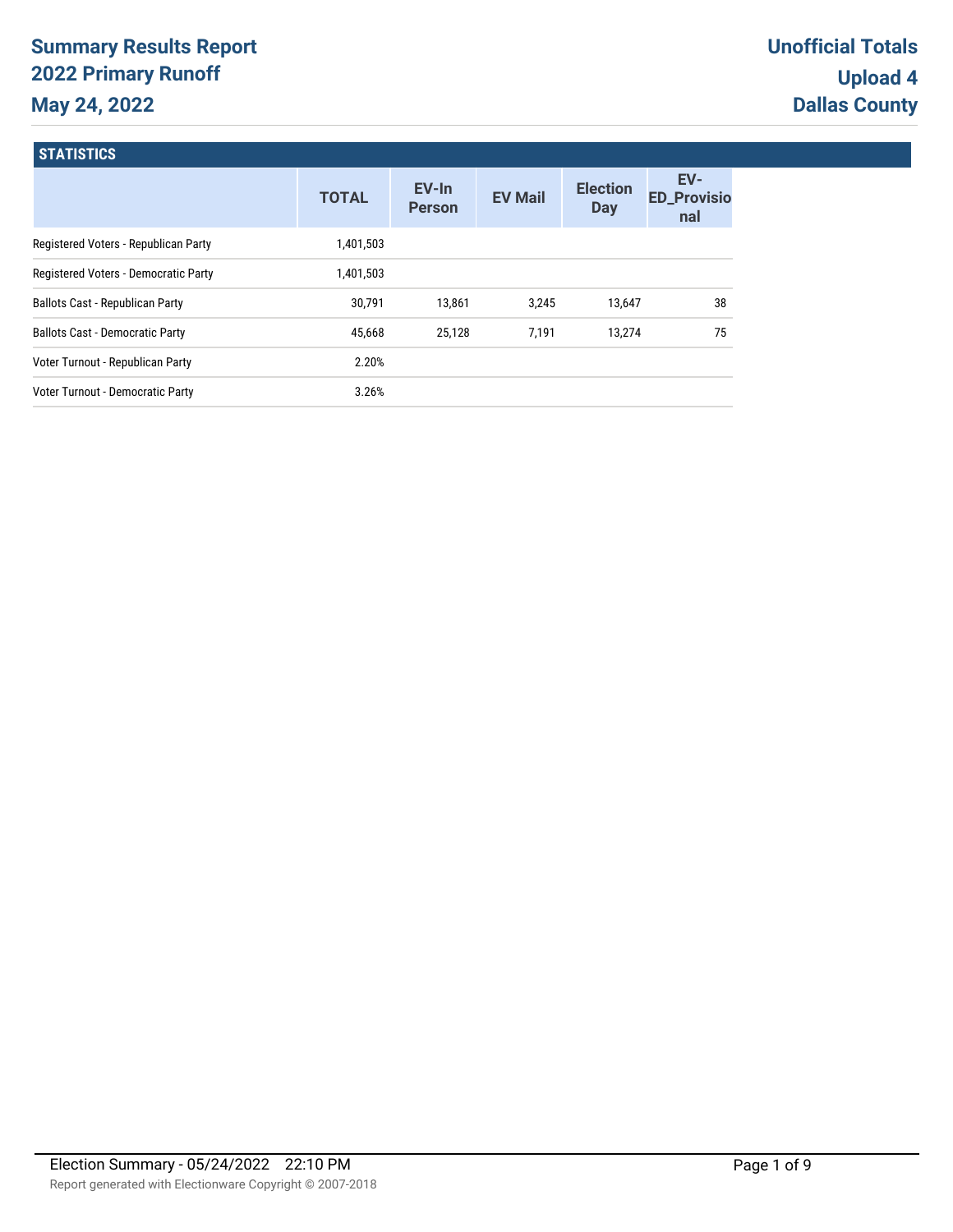# **Summary Results Report 2022 Primary Runoff May 24, 2022**

**STATICTICS** 

| <b>DIAIDIR</b>                         |              |                        |                |                               |                                  |
|----------------------------------------|--------------|------------------------|----------------|-------------------------------|----------------------------------|
|                                        | <b>TOTAL</b> | EV-In<br><b>Person</b> | <b>EV Mail</b> | <b>Election</b><br><b>Day</b> | EV-<br><b>ED_Provisio</b><br>nal |
| Registered Voters - Republican Party   | 1,401,503    |                        |                |                               |                                  |
| Registered Voters - Democratic Party   | 1,401,503    |                        |                |                               |                                  |
| Ballots Cast - Republican Party        | 30,791       | 13,861                 | 3.245          | 13,647                        | 38                               |
| <b>Ballots Cast - Democratic Party</b> | 45,668       | 25,128                 | 7,191          | 13,274                        | 75                               |
| Voter Turnout - Republican Party       | 2.20%        |                        |                |                               |                                  |
| Voter Turnout - Democratic Party       | 3.26%        |                        |                |                               |                                  |
|                                        |              |                        |                |                               |                                  |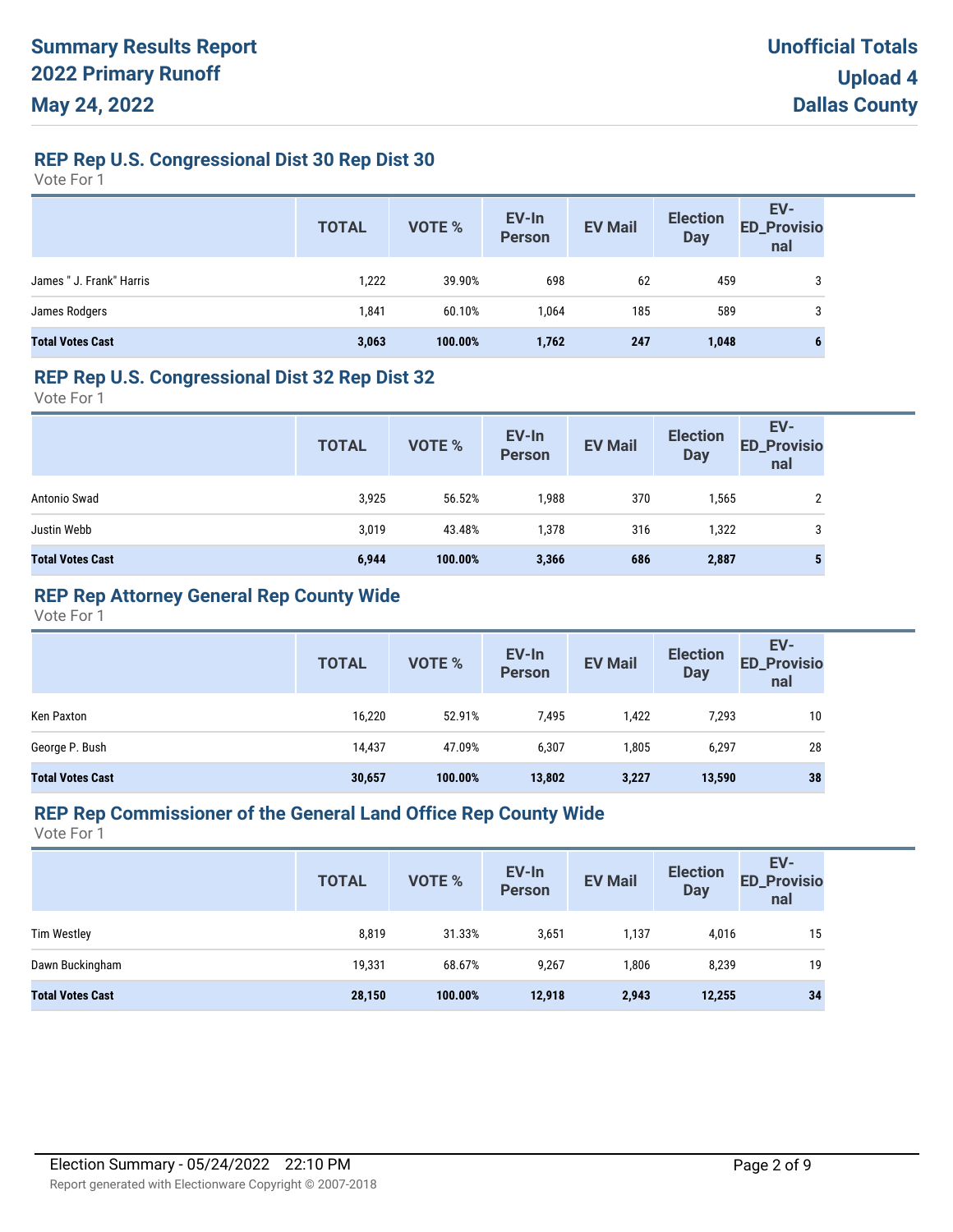# **REP Rep U.S. Congressional Dist 30 Rep Dist 30**

Vote For 1

|                          | <b>TOTAL</b> | VOTE %  | EV-In<br>Person | <b>EV Mail</b> | <b>Election</b><br><b>Day</b> | EV-<br>ED_Provisio<br>nal |
|--------------------------|--------------|---------|-----------------|----------------|-------------------------------|---------------------------|
| James " J. Frank" Harris | 1,222        | 39.90%  | 698             | 62             | 459                           | 3                         |
| James Rodgers            | 1,841        | 60.10%  | 1.064           | 185            | 589                           | 3                         |
| <b>Total Votes Cast</b>  | 3,063        | 100.00% | 1,762           | 247            | 1,048                         | b                         |

### **REP Rep U.S. Congressional Dist 32 Rep Dist 32**

Vote For 1

|                         | <b>TOTAL</b> | VOTE %  | EV-In<br>Person | <b>EV Mail</b> | <b>Election</b><br><b>Day</b> | EV-<br><b>ED_Provisio</b><br>nal |
|-------------------------|--------------|---------|-----------------|----------------|-------------------------------|----------------------------------|
| Antonio Swad            | 3,925        | 56.52%  | 1,988           | 370            | 1,565                         |                                  |
| Justin Webb             | 3,019        | 43.48%  | 1,378           | 316            | 1,322                         | 3                                |
| <b>Total Votes Cast</b> | 6,944        | 100.00% | 3,366           | 686            | 2,887                         |                                  |

# **REP Rep Attorney General Rep County Wide**

Vote For 1

|                         | <b>TOTAL</b> | VOTE %  | EV-In<br><b>Person</b> | <b>EV Mail</b> | <b>Election</b><br><b>Day</b> | EV-<br><b>ED_Provisio</b><br>nal |
|-------------------------|--------------|---------|------------------------|----------------|-------------------------------|----------------------------------|
| Ken Paxton              | 16,220       | 52.91%  | 7,495                  | 1,422          | 7,293                         | 10                               |
| George P. Bush          | 14,437       | 47.09%  | 6,307                  | 1,805          | 6,297                         | 28                               |
| <b>Total Votes Cast</b> | 30,657       | 100.00% | 13,802                 | 3,227          | 13,590                        | 38                               |

#### **REP Rep Commissioner of the General Land Office Rep County Wide**

|                         | <b>TOTAL</b> | <b>VOTE %</b> | EV-In<br><b>Person</b> | <b>EV Mail</b> | <b>Election</b><br><b>Day</b> | EV-<br><b>ED_Provisio</b><br>nal |
|-------------------------|--------------|---------------|------------------------|----------------|-------------------------------|----------------------------------|
| <b>Tim Westley</b>      | 8,819        | 31.33%        | 3,651                  | 1,137          | 4,016                         | 15                               |
| Dawn Buckingham         | 19,331       | 68.67%        | 9,267                  | 1,806          | 8,239                         | 19                               |
| <b>Total Votes Cast</b> | 28,150       | 100.00%       | 12,918                 | 2,943          | 12,255                        | 34                               |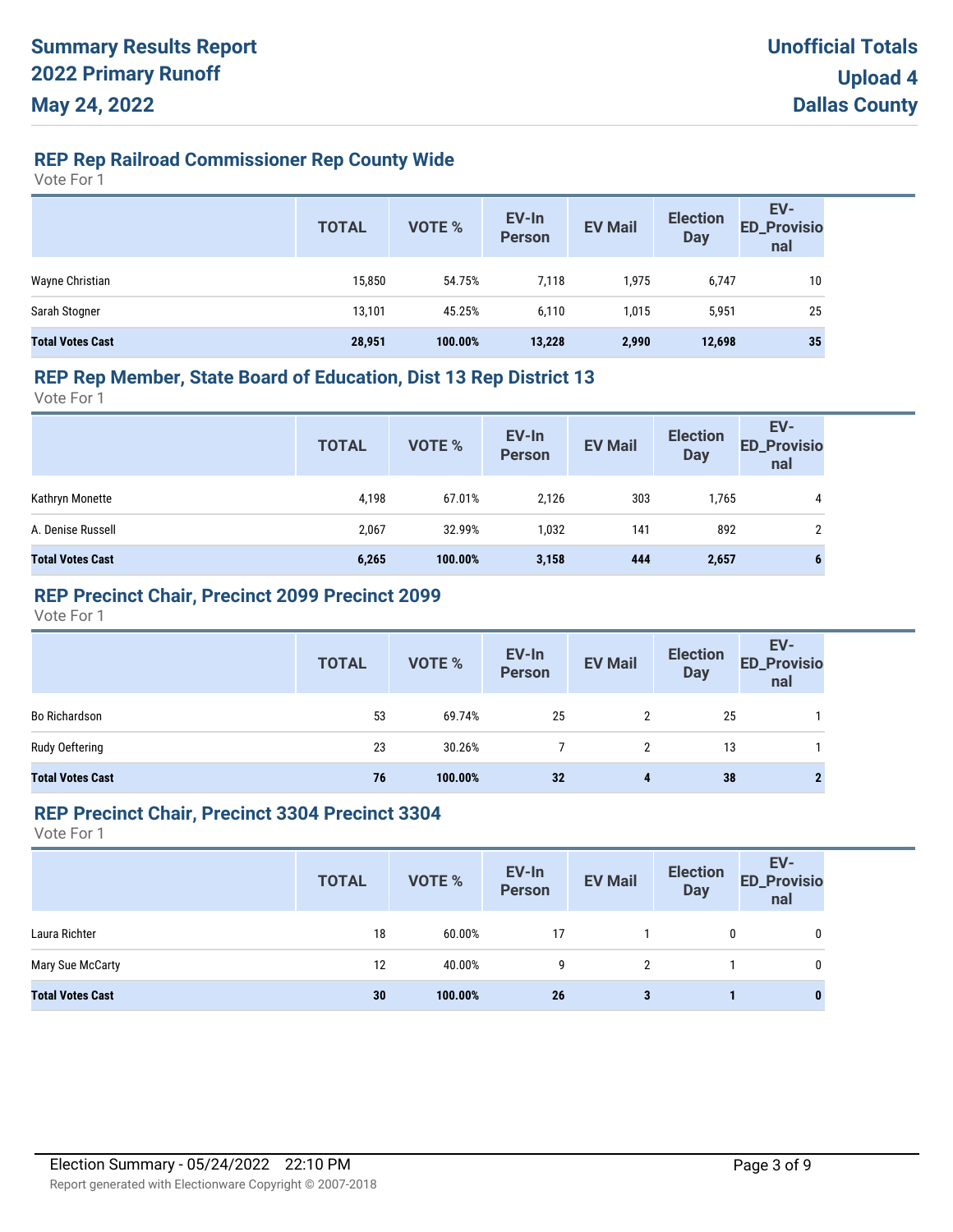# **REP Rep Railroad Commissioner Rep County Wide**

Vote For 1

|                         | <b>TOTAL</b> | VOTE %  | EV-In<br>Person | <b>EV Mail</b> | <b>Election</b><br><b>Day</b> | EV-<br>ED_Provisio<br>nal |
|-------------------------|--------------|---------|-----------------|----------------|-------------------------------|---------------------------|
| Wayne Christian         | 15,850       | 54.75%  | 7,118           | 1,975          | 6,747                         | 10                        |
| Sarah Stogner           | 13,101       | 45.25%  | 6,110           | 1,015          | 5,951                         | 25                        |
| <b>Total Votes Cast</b> | 28,951       | 100.00% | 13,228          | 2,990          | 12,698                        | 35                        |

#### **REP Rep Member, State Board of Education, Dist 13 Rep District 13**

Vote For 1

|                         | <b>TOTAL</b> | VOTE %  | EV-In<br>Person | <b>EV Mail</b> | <b>Election</b><br><b>Day</b> | EV-<br><b>ED_Provisio</b><br>nal |
|-------------------------|--------------|---------|-----------------|----------------|-------------------------------|----------------------------------|
| Kathryn Monette         | 4,198        | 67.01%  | 2.126           | 303            | 1,765                         | 4                                |
| A. Denise Russell       | 2,067        | 32.99%  | 1,032           | 141            | 892                           | 2                                |
| <b>Total Votes Cast</b> | 6,265        | 100.00% | 3,158           | 444            | 2,657                         | 6                                |

### **REP Precinct Chair, Precinct 2099 Precinct 2099**

Vote For 1

|                         | <b>TOTAL</b> | VOTE %  | EV-In<br>Person | <b>EV Mail</b> | <b>Election</b><br>Day | EV-<br>ED_Provisio<br>nal |
|-------------------------|--------------|---------|-----------------|----------------|------------------------|---------------------------|
| <b>Bo Richardson</b>    | 53           | 69.74%  | 25              | 2              | 25                     |                           |
| Rudy Oeftering          | 23           | 30.26%  |                 |                | 13                     |                           |
| <b>Total Votes Cast</b> | 76           | 100.00% | 32              | 4              | 38                     |                           |

#### **REP Precinct Chair, Precinct 3304 Precinct 3304**

|                         | <b>TOTAL</b> | VOTE %  | EV-In<br>Person | <b>EV Mail</b> | <b>Election</b><br><b>Day</b> | EV-<br><b>ED_Provisio</b><br>nal |
|-------------------------|--------------|---------|-----------------|----------------|-------------------------------|----------------------------------|
| Laura Richter           | 18           | 60.00%  | 17              |                | 0                             | 0                                |
| Mary Sue McCarty        | 12           | 40.00%  | g               | 2              |                               | 0                                |
| <b>Total Votes Cast</b> | 30           | 100.00% | 26              | 3              |                               | $\bf{0}$                         |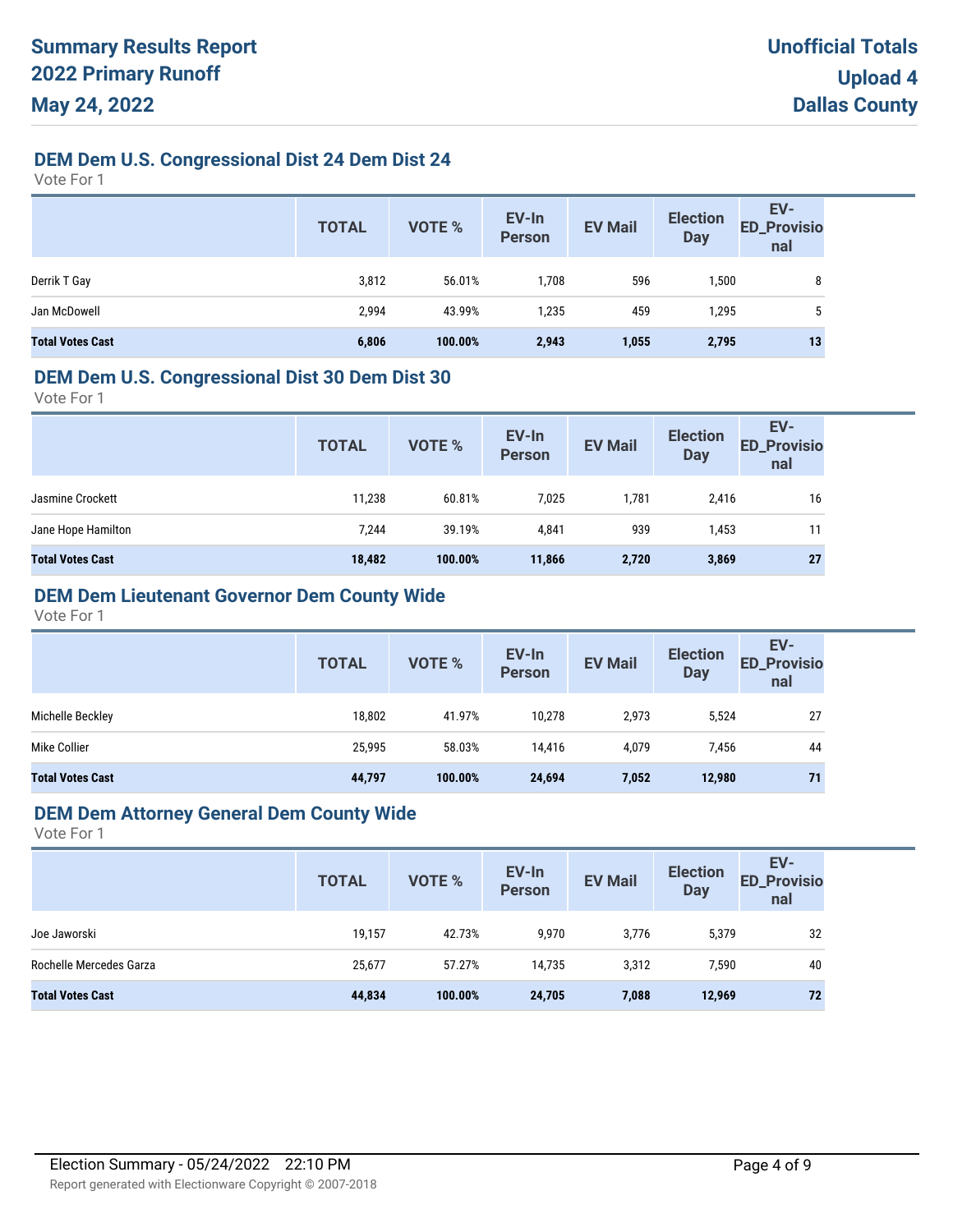# **DEM Dem U.S. Congressional Dist 24 Dem Dist 24**

Vote For 1

|                         | <b>TOTAL</b> | <b>VOTE %</b> | EV-In<br><b>Person</b> | <b>EV Mail</b> | <b>Election</b><br><b>Day</b> | EV-<br>ED_Provisio<br>nal |
|-------------------------|--------------|---------------|------------------------|----------------|-------------------------------|---------------------------|
| Derrik T Gay            | 3,812        | 56.01%        | 1,708                  | 596            | 1,500                         | 8                         |
| Jan McDowell            | 2,994        | 43.99%        | 1,235                  | 459            | 1,295                         | 5                         |
| <b>Total Votes Cast</b> | 6,806        | 100.00%       | 2,943                  | 1,055          | 2,795                         | 13                        |

#### **DEM Dem U.S. Congressional Dist 30 Dem Dist 30**

Vote For 1

| <b>TOTAL</b> | VOTE %  | EV-In<br>Person | <b>EV Mail</b> | <b>Election</b><br><b>Day</b> | EV-<br><b>ED_Provisio</b><br>nal |
|--------------|---------|-----------------|----------------|-------------------------------|----------------------------------|
| 11,238       | 60.81%  | 7,025           | 1,781          | 2,416                         | 16                               |
| 7,244        | 39.19%  | 4,841           | 939            | 1,453                         | 11                               |
| 18,482       | 100.00% | 11,866          | 2,720          | 3,869                         | 27                               |
|              |         |                 |                |                               |                                  |

# **DEM Dem Lieutenant Governor Dem County Wide**

Vote For 1

|                         | <b>TOTAL</b> | VOTE %  | EV-In<br><b>Person</b> | <b>EV Mail</b> | <b>Election</b><br><b>Day</b> | EV-<br><b>ED_Provisio</b><br>nal |
|-------------------------|--------------|---------|------------------------|----------------|-------------------------------|----------------------------------|
| Michelle Beckley        | 18,802       | 41.97%  | 10.278                 | 2,973          | 5,524                         | 27                               |
| Mike Collier            | 25,995       | 58.03%  | 14,416                 | 4,079          | 7,456                         | 44                               |
| <b>Total Votes Cast</b> | 44,797       | 100.00% | 24,694                 | 7,052          | 12,980                        | 71                               |

#### **DEM Dem Attorney General Dem County Wide**

|                         | <b>TOTAL</b> | VOTE %  | EV-In<br>Person | <b>EV Mail</b> | <b>Election</b><br><b>Day</b> | EV-<br><b>ED_Provisio</b><br>nal |
|-------------------------|--------------|---------|-----------------|----------------|-------------------------------|----------------------------------|
| Joe Jaworski            | 19,157       | 42.73%  | 9,970           | 3,776          | 5,379                         | 32                               |
| Rochelle Mercedes Garza | 25.677       | 57.27%  | 14.735          | 3,312          | 7,590                         | 40                               |
| <b>Total Votes Cast</b> | 44,834       | 100.00% | 24,705          | 7,088          | 12,969                        | 72                               |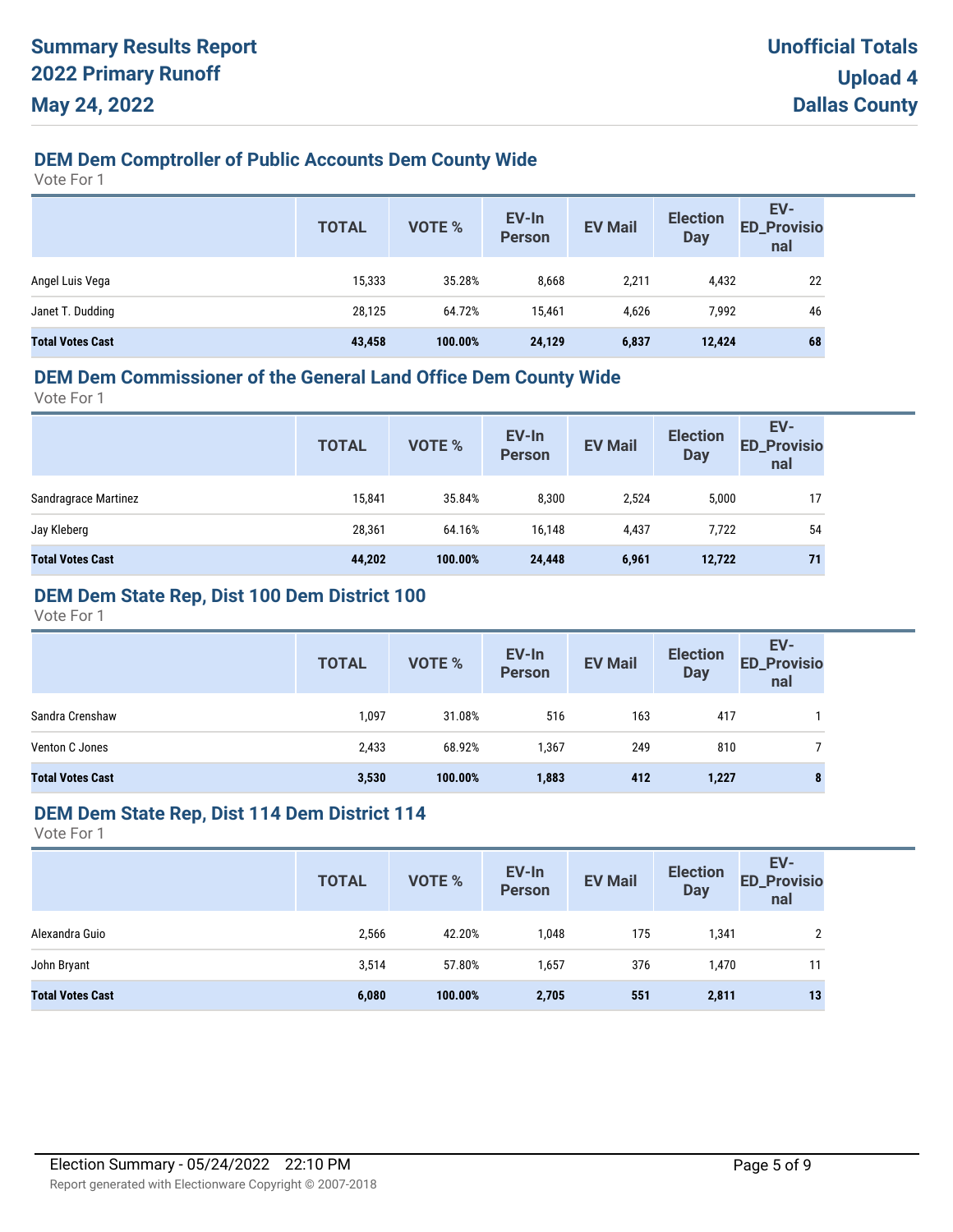# **DEM Dem Comptroller of Public Accounts Dem County Wide**

Vote For 1

|                         | <b>TOTAL</b> | VOTE %  | EV-In<br><b>Person</b> | <b>EV Mail</b> | <b>Election</b><br><b>Day</b> | EV-<br><b>ED_Provisio</b><br>nal |
|-------------------------|--------------|---------|------------------------|----------------|-------------------------------|----------------------------------|
| Angel Luis Vega         | 15,333       | 35.28%  | 8,668                  | 2,211          | 4,432                         | 22                               |
| Janet T. Dudding        | 28,125       | 64.72%  | 15,461                 | 4,626          | 7,992                         | 46                               |
| <b>Total Votes Cast</b> | 43,458       | 100.00% | 24,129                 | 6,837          | 12,424                        | 68                               |

# **DEM Dem Commissioner of the General Land Office Dem County Wide**

Vote For 1

|                         | <b>TOTAL</b> | VOTE %  | EV-In<br><b>Person</b> | <b>EV Mail</b> | <b>Election</b><br><b>Day</b> | EV-<br><b>ED_Provisio</b><br>nal |
|-------------------------|--------------|---------|------------------------|----------------|-------------------------------|----------------------------------|
| Sandragrace Martinez    | 15,841       | 35.84%  | 8,300                  | 2,524          | 5,000                         | 17                               |
| Jay Kleberg             | 28,361       | 64.16%  | 16,148                 | 4,437          | 7,722                         | 54                               |
| <b>Total Votes Cast</b> | 44,202       | 100.00% | 24,448                 | 6,961          | 12,722                        | 71                               |

# **DEM Dem State Rep, Dist 100 Dem District 100**

Vote For 1

|                         | <b>TOTAL</b> | <b>VOTE %</b> | EV-In<br><b>Person</b> | <b>EV Mail</b> | <b>Election</b><br><b>Day</b> | EV-<br><b>ED_Provisio</b><br>nal |
|-------------------------|--------------|---------------|------------------------|----------------|-------------------------------|----------------------------------|
| Sandra Crenshaw         | 1,097        | 31.08%        | 516                    | 163            | 417                           |                                  |
| Venton C Jones          | 2,433        | 68.92%        | 1,367                  | 249            | 810                           |                                  |
| <b>Total Votes Cast</b> | 3,530        | 100.00%       | 1,883                  | 412            | 1,227                         | 8                                |

#### **DEM Dem State Rep, Dist 114 Dem District 114**

|                         | <b>TOTAL</b> | VOTE %  | EV-In<br>Person | <b>EV Mail</b> | <b>Election</b><br><b>Day</b> | EV-<br><b>ED_Provisio</b><br>nal |
|-------------------------|--------------|---------|-----------------|----------------|-------------------------------|----------------------------------|
| Alexandra Guio          | 2,566        | 42.20%  | 1,048           | 175            | 1,341                         | C.                               |
| John Bryant             | 3,514        | 57.80%  | 1,657           | 376            | 1,470                         |                                  |
| <b>Total Votes Cast</b> | 6,080        | 100.00% | 2,705           | 551            | 2,811                         | 13                               |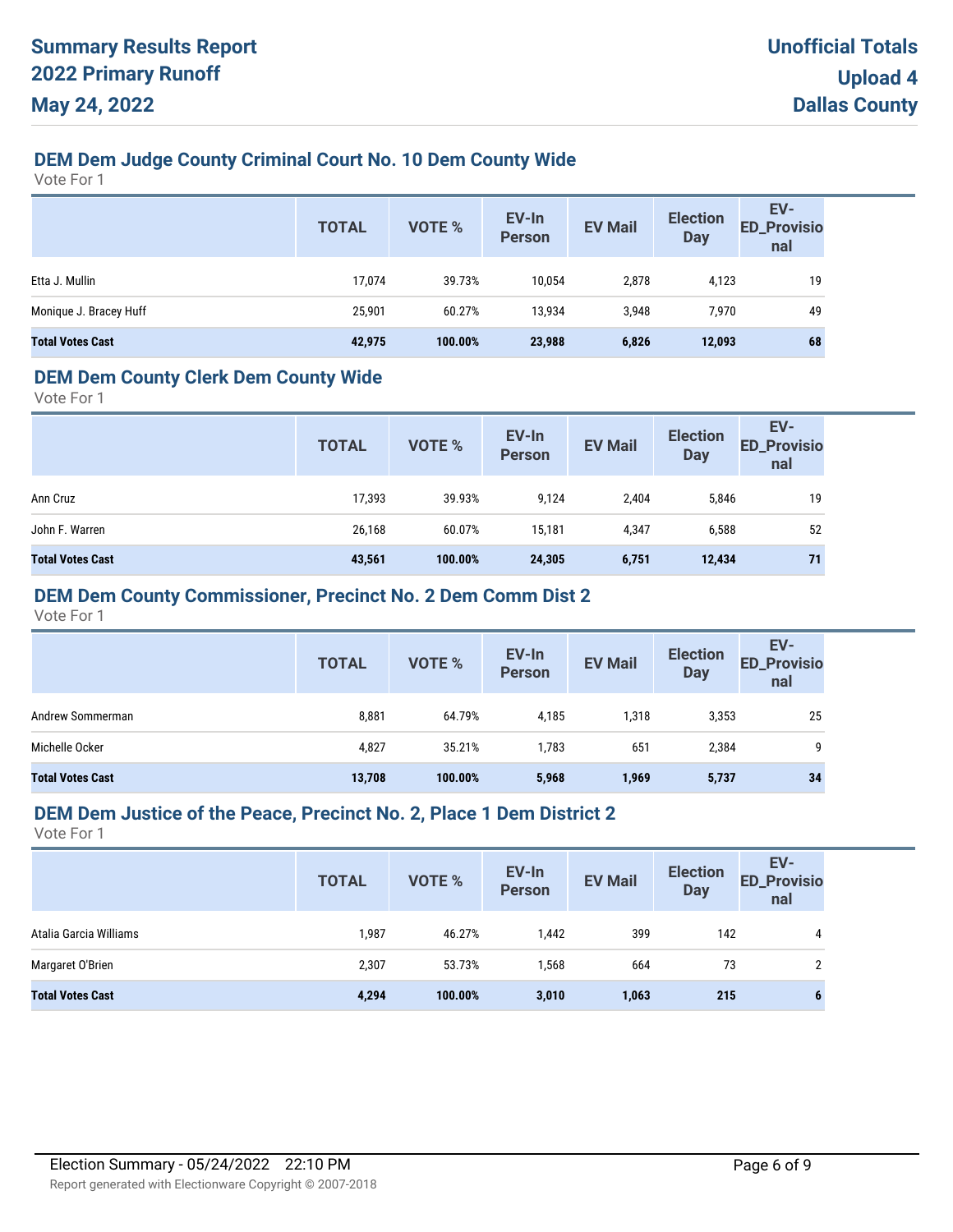# **DEM Dem Judge County Criminal Court No. 10 Dem County Wide**

Vote For 1

|                         | <b>TOTAL</b> | VOTE %  | EV-In<br>Person | <b>EV Mail</b> | <b>Election</b><br><b>Day</b> | EV-<br>ED_Provisio<br>nal |
|-------------------------|--------------|---------|-----------------|----------------|-------------------------------|---------------------------|
| Etta J. Mullin          | 17,074       | 39.73%  | 10,054          | 2,878          | 4,123                         | 19                        |
| Monique J. Bracey Huff  | 25,901       | 60.27%  | 13,934          | 3.948          | 7,970                         | 49                        |
| <b>Total Votes Cast</b> | 42,975       | 100.00% | 23,988          | 6,826          | 12,093                        | 68                        |

### **DEM Dem County Clerk Dem County Wide**

Vote For 1

|                         | <b>TOTAL</b> | <b>VOTE %</b> | EV-In<br><b>Person</b> | <b>EV Mail</b> | <b>Election</b><br><b>Day</b> | EV-<br><b>ED_Provisio</b><br>nal |
|-------------------------|--------------|---------------|------------------------|----------------|-------------------------------|----------------------------------|
| Ann Cruz                | 17,393       | 39.93%        | 9,124                  | 2,404          | 5,846                         | 19                               |
| John F. Warren          | 26,168       | 60.07%        | 15.181                 | 4,347          | 6,588                         | 52                               |
| <b>Total Votes Cast</b> | 43,561       | 100.00%       | 24,305                 | 6,751          | 12,434                        | 71                               |

### **DEM Dem County Commissioner, Precinct No. 2 Dem Comm Dist 2**

Vote For 1

|                         | <b>TOTAL</b> | <b>VOTE %</b> | EV-In<br>Person | <b>EV Mail</b> | <b>Election</b><br><b>Day</b> | EV-<br><b>ED_Provisio</b><br>nal |
|-------------------------|--------------|---------------|-----------------|----------------|-------------------------------|----------------------------------|
| Andrew Sommerman        | 8,881        | 64.79%        | 4,185           | 1,318          | 3,353                         | 25                               |
| Michelle Ocker          | 4,827        | 35.21%        | 1,783           | 651            | 2,384                         | q                                |
| <b>Total Votes Cast</b> | 13,708       | 100.00%       | 5,968           | 1,969          | 5,737                         | 34                               |

#### **DEM Dem Justice of the Peace, Precinct No. 2, Place 1 Dem District 2**

|                         | <b>TOTAL</b> | <b>VOTE %</b> | EV-In<br><b>Person</b> | <b>EV Mail</b> | <b>Election</b><br><b>Day</b> | EV-<br><b>ED_Provisio</b><br>nal |
|-------------------------|--------------|---------------|------------------------|----------------|-------------------------------|----------------------------------|
| Atalia Garcia Williams  | 1,987        | 46.27%        | 1,442                  | 399            | 142                           | 4                                |
| Margaret O'Brien        | 2,307        | 53.73%        | 1,568                  | 664            | 73                            |                                  |
| <b>Total Votes Cast</b> | 4,294        | 100.00%       | 3,010                  | 1,063          | 215                           |                                  |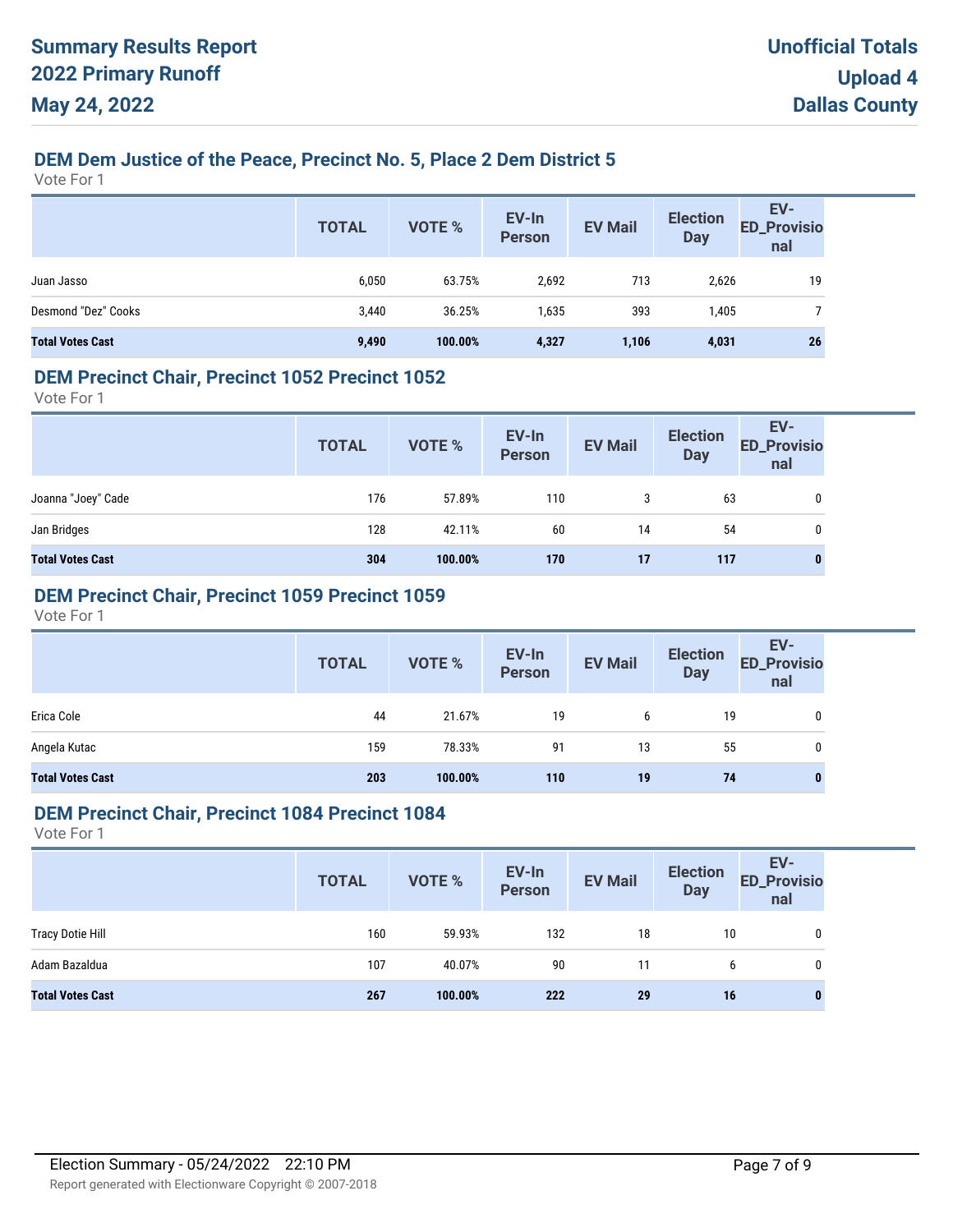# **DEM Dem Justice of the Peace, Precinct No. 5, Place 2 Dem District 5**

Vote For 1

|                         | <b>TOTAL</b> | <b>VOTE %</b> | EV-In<br>Person | <b>EV Mail</b> | <b>Election</b><br><b>Day</b> | EV-<br>ED_Provisio<br>nal |
|-------------------------|--------------|---------------|-----------------|----------------|-------------------------------|---------------------------|
| Juan Jasso              | 6,050        | 63.75%        | 2,692           | 713            | 2,626                         | 19                        |
| Desmond "Dez" Cooks     | 3,440        | 36.25%        | 1,635           | 393            | 1,405                         |                           |
| <b>Total Votes Cast</b> | 9,490        | 100.00%       | 4,327           | 1,106          | 4,031                         | 26                        |

#### **DEM Precinct Chair, Precinct 1052 Precinct 1052**

Vote For 1

|                         | <b>TOTAL</b> | VOTE %  | EV-In<br>Person | <b>EV Mail</b> | <b>Election</b><br><b>Day</b> | EV-<br><b>ED_Provisio</b><br>nal |
|-------------------------|--------------|---------|-----------------|----------------|-------------------------------|----------------------------------|
| Joanna "Joey" Cade      | 176          | 57.89%  | 110             | 3              | 63                            | 0                                |
| Jan Bridges             | 128          | 42.11%  | 60              | 14             | 54                            | 0                                |
| <b>Total Votes Cast</b> | 304          | 100.00% | 170             | 17             | 117                           | $\mathbf{0}$                     |

### **DEM Precinct Chair, Precinct 1059 Precinct 1059**

Vote For 1

|                         | <b>TOTAL</b> | VOTE %  | EV-In<br>Person | <b>EV Mail</b> | <b>Election</b><br><b>Day</b> | EV-<br>ED_Provisio<br>nal |
|-------------------------|--------------|---------|-----------------|----------------|-------------------------------|---------------------------|
| Erica Cole              | 44           | 21.67%  | 19              | 6              | 19                            | 0                         |
| Angela Kutac            | 159          | 78.33%  | 91              | 13             | 55                            | 0                         |
| <b>Total Votes Cast</b> | 203          | 100.00% | 110             | 19             | 74                            | $\bf{0}$                  |

#### **DEM Precinct Chair, Precinct 1084 Precinct 1084**

|                         | <b>TOTAL</b> | <b>VOTE %</b> | EV-In<br>Person | <b>EV Mail</b> | <b>Election</b><br>Day | EV-<br><b>ED_Provisio</b><br>nal |
|-------------------------|--------------|---------------|-----------------|----------------|------------------------|----------------------------------|
| <b>Tracy Dotie Hill</b> | 160          | 59.93%        | 132             | 18             | 10                     | 0                                |
| Adam Bazaldua           | 107          | 40.07%        | 90              | 11             | 6                      | 0                                |
| <b>Total Votes Cast</b> | 267          | 100.00%       | 222             | 29             | 16                     | 0                                |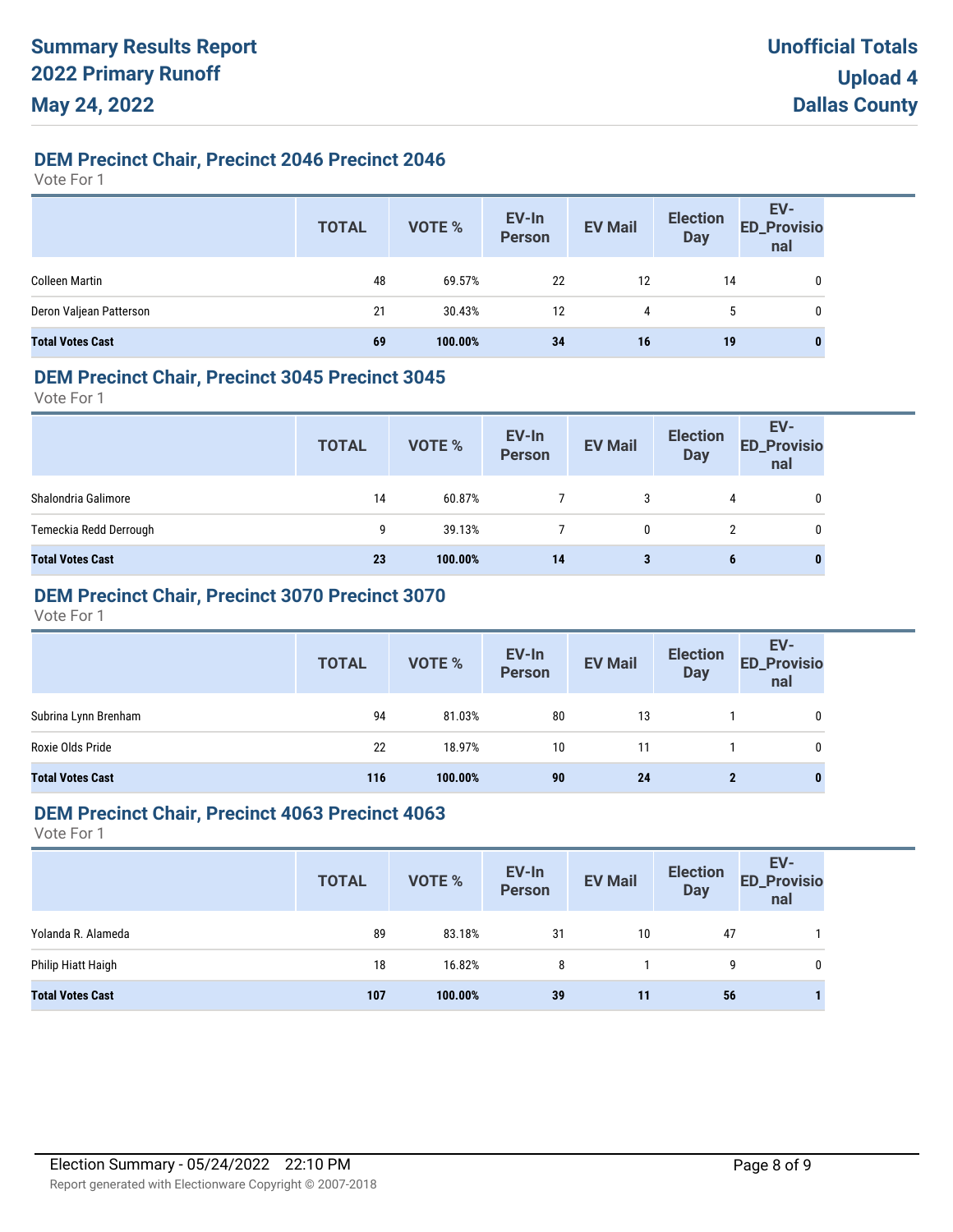### **DEM Precinct Chair, Precinct 2046 Precinct 2046**

Vote For 1

|                         | <b>TOTAL</b> | VOTE %  | EV-In<br>Person | <b>EV Mail</b> | <b>Election</b><br>Day | EV-<br>ED_Provisio<br>nal |
|-------------------------|--------------|---------|-----------------|----------------|------------------------|---------------------------|
| <b>Colleen Martin</b>   | 48           | 69.57%  | 22              | 12             | 14                     | 0                         |
| Deron Valjean Patterson | 21           | 30.43%  | 12              | 4              | ა                      | 0                         |
| <b>Total Votes Cast</b> | 69           | 100.00% | 34              | 16             | 19                     | $\bf{0}$                  |

#### **DEM Precinct Chair, Precinct 3045 Precinct 3045**

Vote For 1

|                         | <b>TOTAL</b> | VOTE %  | EV-In<br>Person | <b>EV Mail</b> | <b>Election</b><br><b>Day</b> | EV-<br><b>ED_Provisio</b><br>nal |
|-------------------------|--------------|---------|-----------------|----------------|-------------------------------|----------------------------------|
| Shalondria Galimore     | 14           | 60.87%  |                 | 3              | 4                             | 0                                |
| Temeckia Redd Derrough  | 9            | 39.13%  |                 | 0              |                               | 0                                |
| <b>Total Votes Cast</b> | 23           | 100.00% | 14              | 3              | 6                             | 0                                |

# **DEM Precinct Chair, Precinct 3070 Precinct 3070**

Vote For 1

|                         | <b>TOTAL</b> | VOTE %  | EV-In<br>Person | <b>EV Mail</b> | <b>Election</b><br><b>Day</b> | EV-<br>ED_Provisio<br>nal |
|-------------------------|--------------|---------|-----------------|----------------|-------------------------------|---------------------------|
| Subrina Lynn Brenham    | 94           | 81.03%  | 80              | 13             |                               |                           |
| Roxie Olds Pride        | 22           | 18.97%  | 10              | 11             |                               |                           |
| <b>Total Votes Cast</b> | 116          | 100.00% | 90              | 24             | 2                             |                           |

### **DEM Precinct Chair, Precinct 4063 Precinct 4063**

|                         | <b>TOTAL</b> | <b>VOTE %</b> | EV-In<br>Person | <b>EV Mail</b> | <b>Election</b><br><b>Day</b> | EV-<br><b>ED_Provisio</b><br>nal |
|-------------------------|--------------|---------------|-----------------|----------------|-------------------------------|----------------------------------|
| Yolanda R. Alameda      | 89           | 83.18%        | 31              | 10             | 47                            |                                  |
| Philip Hiatt Haigh      | 18           | 16.82%        | 8               |                | q                             | 0                                |
| <b>Total Votes Cast</b> | 107          | 100.00%       | 39              | 11             | 56                            |                                  |